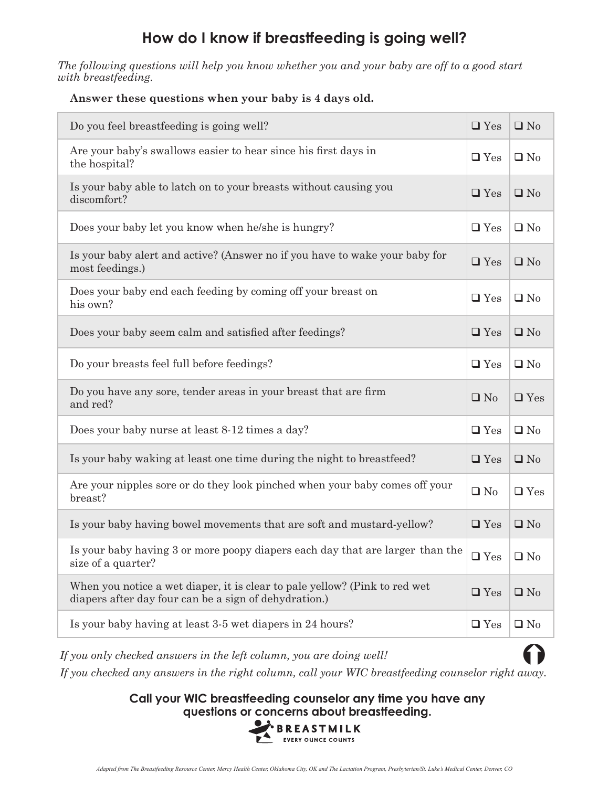### **How do I know if breastfeeding is going well?**

*The following questions will help you know whether you and your baby are off to a good start with breastfeeding.*

### **Answer these questions when your baby is 4 days old.**

| Do you feel breastfeeding is going well?                                                                                            | $\Box$ Yes    | $\square$ No |
|-------------------------------------------------------------------------------------------------------------------------------------|---------------|--------------|
| Are your baby's swallows easier to hear since his first days in<br>the hospital?                                                    | $\Box$ Yes    | $\Box$ No    |
| Is your baby able to latch on to your breasts without causing you<br>discomfort?                                                    | $\Box$ Yes    | $\Box$ No    |
| Does your baby let you know when he/she is hungry?                                                                                  | $\Box$ Yes    | $\Box$ No    |
| Is your baby alert and active? (Answer no if you have to wake your baby for<br>most feedings.)                                      | $\Box$ Yes    | $\square$ No |
| Does your baby end each feeding by coming off your breast on<br>his own?                                                            | $\Box$ Yes    | $\Box$ No    |
| Does your baby seem calm and satisfied after feedings?                                                                              | $\Box$ Yes    | $\square$ No |
| Do your breasts feel full before feedings?                                                                                          | $\Box$ Yes    | $\Box$ No    |
| Do you have any sore, tender areas in your breast that are firm<br>and red?                                                         | $\Box$ No     | $\Box$ Yes   |
| Does your baby nurse at least 8-12 times a day?                                                                                     | $\Box$ Yes    | $\Box$ No    |
| Is your baby waking at least one time during the night to breastfeed?                                                               | $\Box$ Yes    | $\square$ No |
| Are your nipples sore or do they look pinched when your baby comes off your<br>breast?                                              | $\Box$ No     | $\Box$ Yes   |
| Is your baby having bowel movements that are soft and mustard-yellow?                                                               | $\Box$ Yes    | $\square$ No |
| Is your baby having 3 or more poopy diapers each day that are larger than the<br>size of a quarter?                                 | $\square$ Yes | $\Box$ No    |
| When you notice a wet diaper, it is clear to pale yellow? (Pink to red wet<br>diapers after day four can be a sign of dehydration.) | $\Box$ Yes    | $\Box$ No    |
| Is your baby having at least 3-5 wet diapers in 24 hours?                                                                           | $\square$ Yes | $\Box$ No    |

*If you only checked answers in the left column, you are doing well!* 

*If you checked any answers in the right column, call your WIC breastfeeding counselor right away.*

**Call your WIC breastfeeding counselor any time you have any questions or concerns about breastfeeding.**<br>**BREASTMILK**